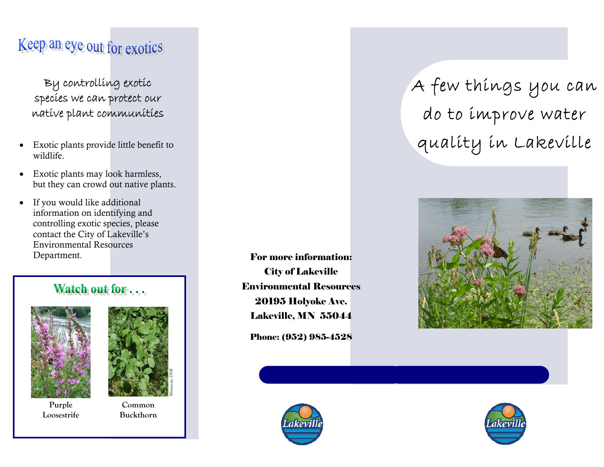## Keep an eye out for exotics

By controlling exotic species we can protect our native plant communities

- $\bullet$  Exotic plants provide little benefit to wildlife.
- $\bullet$  Exotic plants may look harmless, but they can crowd out native plants.
- $\bullet$  If you would like additional information on identifying and controlling exotic species, please contact the City of Lakeville's Environmental Resources Department.

#### Watch out for ...





**Purple Loosestrife** 

**Common Buckthorn** 

For more information: City of Lakeville Environmental Resources 20195 Holyoke Ave. Lakeville, MN 55044

Phone: (952) 985-4528



A few things you can do to improve water quality in Lakeville